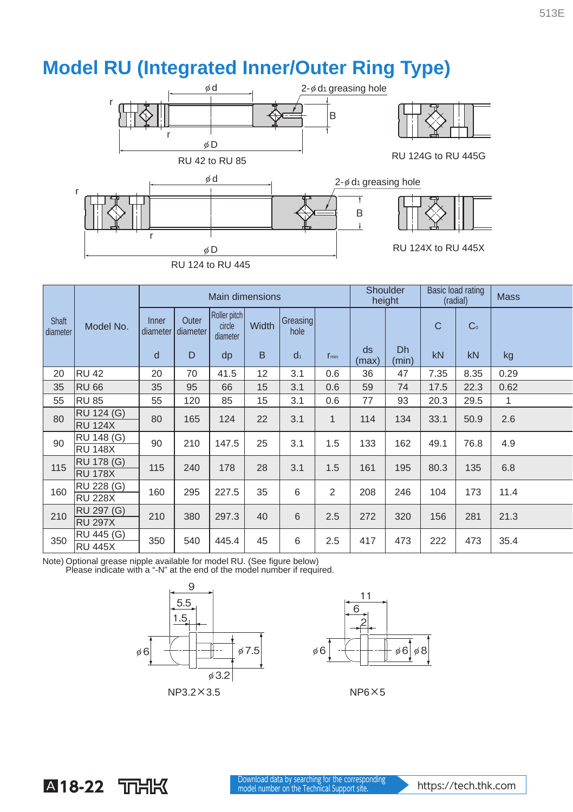## **Model RU (Integrated Inner/Outer Ring Type)**



|                   |                   | <b>Main dimensions</b> |                   |                                    |              |                  |                | Shoulder<br>height |             | Basic load rating<br>(radial) |                | <b>Mass</b> |
|-------------------|-------------------|------------------------|-------------------|------------------------------------|--------------|------------------|----------------|--------------------|-------------|-------------------------------|----------------|-------------|
| Shaft<br>diameter | Model No.         | Inner<br>diameter      | Outer<br>diameter | Roller pitch<br>circle<br>diameter | <b>Width</b> | Greasing<br>hole |                |                    |             | $\mathsf{C}$                  | C <sub>0</sub> |             |
|                   |                   | d                      | D                 | dp                                 | B            | d <sub>1</sub>   | $r_{\min}$     | ds<br>(max)        | Dh<br>(min) | kN                            | kN             | kg          |
| 20                | <b>RU 42</b>      | 20                     | 70                | 41.5                               | 12           | 3.1              | 0.6            | 36                 | 47          | 7.35                          | 8.35           | 0.29        |
| 35                | <b>RU 66</b>      | 35                     | 95                | 66                                 | 15           | 3.1              | 0.6            | 59                 | 74          | 17.5                          | 22.3           | 0.62        |
| 55                | <b>RU 85</b>      | 55                     | 120               | 85                                 | 15           | 3.1              | 0.6            | 77                 | 93          | 20.3                          | 29.5           | 1           |
| 80                | RU 124 (G)        | 80                     | 165               | 124                                | 22           | 3.1              | 1              | 114                | 134         | 33.1                          | 50.9           | 2.6         |
|                   | <b>RU 124X</b>    |                        |                   |                                    |              |                  |                |                    |             |                               |                |             |
| 90                | RU 148 (G)        | 90                     | 210               | 147.5                              | 25           | 3.1              | 1.5            | 133                | 162         | 49.1                          | 76.8           | 4.9         |
|                   | <b>RU 148X</b>    |                        |                   |                                    |              |                  |                |                    |             |                               |                |             |
| 115               | <b>RU 178 (G)</b> | 115                    | 240               | 178                                | 28           | 3.1              | 1.5            | 161                | 195         | 80.3                          | 135            | 6.8         |
|                   | <b>RU 178X</b>    |                        |                   |                                    |              |                  |                |                    |             |                               |                |             |
| 160               | RU 228 (G)        | 160                    | 295               | 227.5                              | 35           | 6                | $\overline{2}$ | 208                | 246         | 104                           | 173            | 11.4        |
|                   | <b>RU 228X</b>    |                        |                   |                                    |              |                  |                |                    |             |                               |                |             |
| 210               | RU 297 (G)        | 210                    | 380               | 297.3                              | 40           | 6                | 2.5            | 272                | 320         | 156                           | 281            | 21.3        |
|                   | <b>RU 297X</b>    |                        |                   |                                    |              |                  |                |                    |             |                               |                |             |
| 350               | RU 445 (G)        | 350                    | 540               | 445.4                              | 45           | 6                | 2.5            | 417                | 473         | 222                           | 473            | 35.4        |
|                   | <b>RU 445X</b>    |                        |                   |                                    |              |                  |                |                    |             |                               |                |             |

Note) Optional grease nipple available for model RU. (See figure below)<br>Please indicate with a "-N" at the end of the model number if required.

r